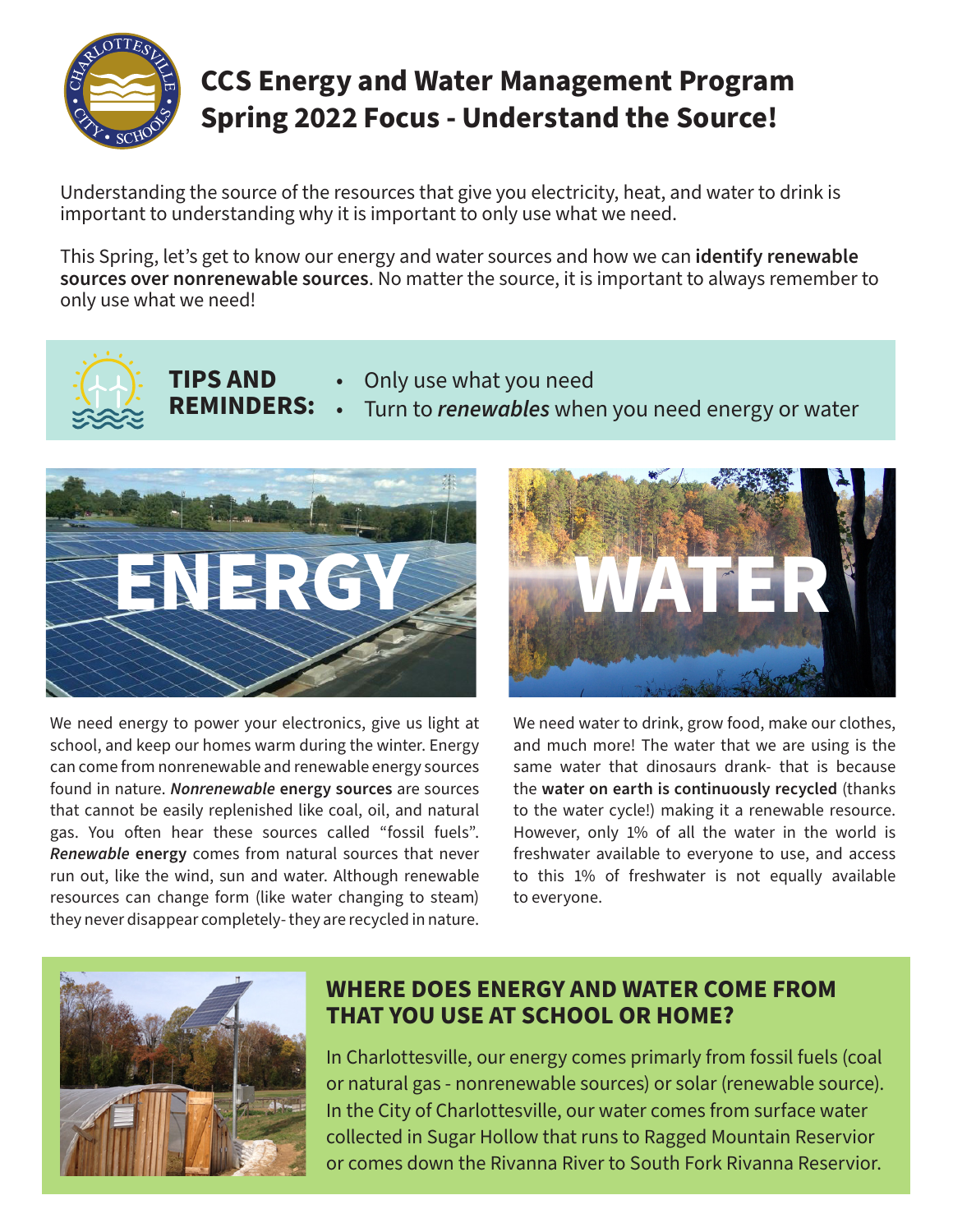

# **CCS Energy and Water Management Program Spring 2022 Focus - Understand the Source!**

Understanding the source of the resources that give you electricity, heat, and water to drink is important to understanding why it is important to only use what we need.

This Spring, let's get to know our energy and water sources and how we can **identify renewable sources over nonrenewable sources**. No matter the source, it is important to always remember to only use what we need!



**TIPS AND**  • Only use what you need

**REMINDERS:** • Turn to *renewables* when you need energy or water



We need energy to power your electronics, give us light at school, and keep our homes warm during the winter. Energy can come from nonrenewable and renewable energy sources found in nature. *Nonrenewable* **energy sources** are sources that cannot be easily replenished like coal, oil, and natural gas. You often hear these sources called "fossil fuels". *Renewable* **energy** comes from natural sources that never run out, like the wind, sun and water. Although renewable resources can change form (like water changing to steam) they never disappear completely- they are recycled in nature.



We need water to drink, grow food, make our clothes, and much more! The water that we are using is the same water that dinosaurs drank- that is because the **water on earth is continuously recycled** (thanks to the water cycle!) making it a renewable resource. However, only 1% of all the water in the world is freshwater available to everyone to use, and access to this 1% of freshwater is not equally available to everyone.



# **WHERE DOES ENERGY AND WATER COME FROM THAT YOU USE AT SCHOOL OR HOME?**

In Charlottesville, our energy comes primarly from fossil fuels (coal or natural gas - nonrenewable sources) or solar (renewable source). In the City of Charlottesville, our water comes from surface water collected in Sugar Hollow that runs to Ragged Mountain Reservior or comes down the Rivanna River to South Fork Rivanna Reservior.